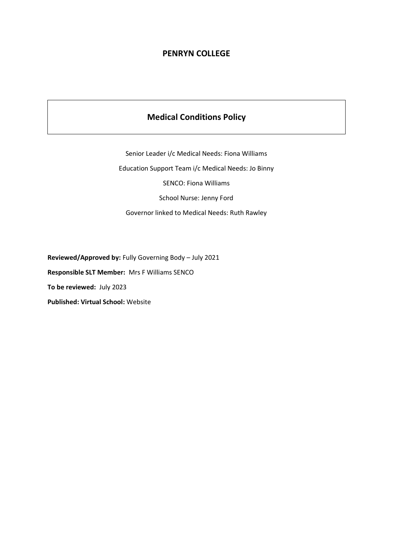## **PENRYN COLLEGE**

## **Medical Conditions Policy**

Senior Leader i/c Medical Needs: Fiona Williams Education Support Team i/c Medical Needs: Jo Binny SENCO: Fiona Williams School Nurse: Jenny Ford Governor linked to Medical Needs: Ruth Rawley

**Reviewed/Approved by:** Fully Governing Body – July 2021 **Responsible SLT Member:** Mrs F Williams SENCO **To be reviewed:** July 2023 **Published: Virtual School:** Website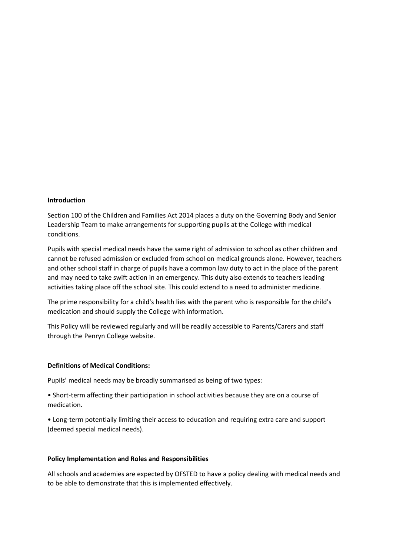### **Introduction**

Section 100 of the Children and Families Act 2014 places a duty on the Governing Body and Senior Leadership Team to make arrangements for supporting pupils at the College with medical conditions.

Pupils with special medical needs have the same right of admission to school as other children and cannot be refused admission or excluded from school on medical grounds alone. However, teachers and other school staff in charge of pupils have a common law duty to act in the place of the parent and may need to take swift action in an emergency. This duty also extends to teachers leading activities taking place off the school site. This could extend to a need to administer medicine.

The prime responsibility for a child's health lies with the parent who is responsible for the child's medication and should supply the College with information.

This Policy will be reviewed regularly and will be readily accessible to Parents/Carers and staff through the Penryn College website.

### **Definitions of Medical Conditions:**

Pupils' medical needs may be broadly summarised as being of two types:

• Short-term affecting their participation in school activities because they are on a course of medication.

• Long-term potentially limiting their access to education and requiring extra care and support (deemed special medical needs).

### **Policy Implementation and Roles and Responsibilities**

All schools and academies are expected by OFSTED to have a policy dealing with medical needs and to be able to demonstrate that this is implemented effectively.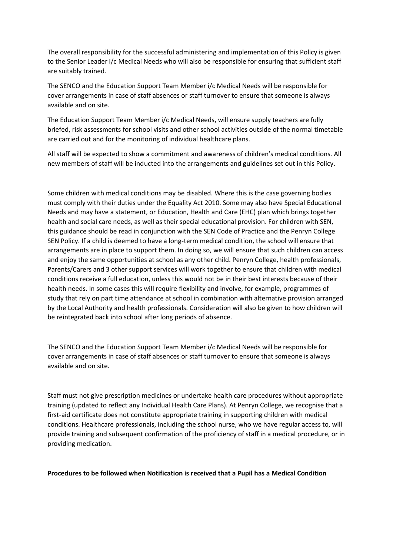The overall responsibility for the successful administering and implementation of this Policy is given to the Senior Leader i/c Medical Needs who will also be responsible for ensuring that sufficient staff are suitably trained.

The SENCO and the Education Support Team Member i/c Medical Needs will be responsible for cover arrangements in case of staff absences or staff turnover to ensure that someone is always available and on site.

The Education Support Team Member i/c Medical Needs, will ensure supply teachers are fully briefed, risk assessments for school visits and other school activities outside of the normal timetable are carried out and for the monitoring of individual healthcare plans.

All staff will be expected to show a commitment and awareness of children's medical conditions. All new members of staff will be inducted into the arrangements and guidelines set out in this Policy.

Some children with medical conditions may be disabled. Where this is the case governing bodies must comply with their duties under the Equality Act 2010. Some may also have Special Educational Needs and may have a statement, or Education, Health and Care (EHC) plan which brings together health and social care needs, as well as their special educational provision. For children with SEN, this guidance should be read in conjunction with the SEN Code of Practice and the Penryn College SEN Policy. If a child is deemed to have a long-term medical condition, the school will ensure that arrangements are in place to support them. In doing so, we will ensure that such children can access and enjoy the same opportunities at school as any other child. Penryn College, health professionals, Parents/Carers and 3 other support services will work together to ensure that children with medical conditions receive a full education, unless this would not be in their best interests because of their health needs. In some cases this will require flexibility and involve, for example, programmes of study that rely on part time attendance at school in combination with alternative provision arranged by the Local Authority and health professionals. Consideration will also be given to how children will be reintegrated back into school after long periods of absence.

The SENCO and the Education Support Team Member i/c Medical Needs will be responsible for cover arrangements in case of staff absences or staff turnover to ensure that someone is always available and on site.

Staff must not give prescription medicines or undertake health care procedures without appropriate training (updated to reflect any Individual Health Care Plans). At Penryn College, we recognise that a first-aid certificate does not constitute appropriate training in supporting children with medical conditions. Healthcare professionals, including the school nurse, who we have regular access to, will provide training and subsequent confirmation of the proficiency of staff in a medical procedure, or in providing medication.

**Procedures to be followed when Notification is received that a Pupil has a Medical Condition**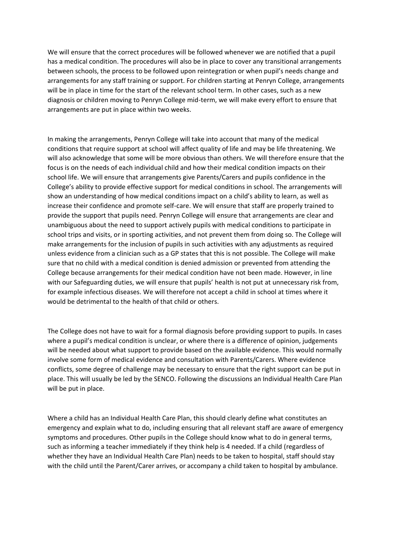We will ensure that the correct procedures will be followed whenever we are notified that a pupil has a medical condition. The procedures will also be in place to cover any transitional arrangements between schools, the process to be followed upon reintegration or when pupil's needs change and arrangements for any staff training or support. For children starting at Penryn College, arrangements will be in place in time for the start of the relevant school term. In other cases, such as a new diagnosis or children moving to Penryn College mid-term, we will make every effort to ensure that arrangements are put in place within two weeks.

In making the arrangements, Penryn College will take into account that many of the medical conditions that require support at school will affect quality of life and may be life threatening. We will also acknowledge that some will be more obvious than others. We will therefore ensure that the focus is on the needs of each individual child and how their medical condition impacts on their school life. We will ensure that arrangements give Parents/Carers and pupils confidence in the College's ability to provide effective support for medical conditions in school. The arrangements will show an understanding of how medical conditions impact on a child's ability to learn, as well as increase their confidence and promote self-care. We will ensure that staff are properly trained to provide the support that pupils need. Penryn College will ensure that arrangements are clear and unambiguous about the need to support actively pupils with medical conditions to participate in school trips and visits, or in sporting activities, and not prevent them from doing so. The College will make arrangements for the inclusion of pupils in such activities with any adjustments as required unless evidence from a clinician such as a GP states that this is not possible. The College will make sure that no child with a medical condition is denied admission or prevented from attending the College because arrangements for their medical condition have not been made. However, in line with our Safeguarding duties, we will ensure that pupils' health is not put at unnecessary risk from, for example infectious diseases. We will therefore not accept a child in school at times where it would be detrimental to the health of that child or others.

The College does not have to wait for a formal diagnosis before providing support to pupils. In cases where a pupil's medical condition is unclear, or where there is a difference of opinion, judgements will be needed about what support to provide based on the available evidence. This would normally involve some form of medical evidence and consultation with Parents/Carers. Where evidence conflicts, some degree of challenge may be necessary to ensure that the right support can be put in place. This will usually be led by the SENCO. Following the discussions an Individual Health Care Plan will be put in place.

Where a child has an Individual Health Care Plan, this should clearly define what constitutes an emergency and explain what to do, including ensuring that all relevant staff are aware of emergency symptoms and procedures. Other pupils in the College should know what to do in general terms, such as informing a teacher immediately if they think help is 4 needed. If a child (regardless of whether they have an Individual Health Care Plan) needs to be taken to hospital, staff should stay with the child until the Parent/Carer arrives, or accompany a child taken to hospital by ambulance.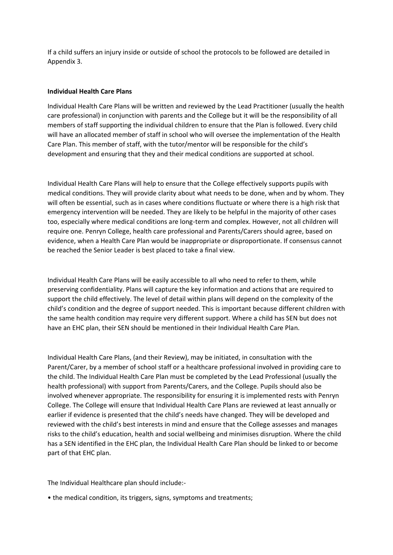If a child suffers an injury inside or outside of school the protocols to be followed are detailed in Appendix 3.

## **Individual Health Care Plans**

Individual Health Care Plans will be written and reviewed by the Lead Practitioner (usually the health care professional) in conjunction with parents and the College but it will be the responsibility of all members of staff supporting the individual children to ensure that the Plan is followed. Every child will have an allocated member of staff in school who will oversee the implementation of the Health Care Plan. This member of staff, with the tutor/mentor will be responsible for the child's development and ensuring that they and their medical conditions are supported at school.

Individual Health Care Plans will help to ensure that the College effectively supports pupils with medical conditions. They will provide clarity about what needs to be done, when and by whom. They will often be essential, such as in cases where conditions fluctuate or where there is a high risk that emergency intervention will be needed. They are likely to be helpful in the majority of other cases too, especially where medical conditions are long-term and complex. However, not all children will require one. Penryn College, health care professional and Parents/Carers should agree, based on evidence, when a Health Care Plan would be inappropriate or disproportionate. If consensus cannot be reached the Senior Leader is best placed to take a final view.

Individual Health Care Plans will be easily accessible to all who need to refer to them, while preserving confidentiality. Plans will capture the key information and actions that are required to support the child effectively. The level of detail within plans will depend on the complexity of the child's condition and the degree of support needed. This is important because different children with the same health condition may require very different support. Where a child has SEN but does not have an EHC plan, their SEN should be mentioned in their Individual Health Care Plan.

Individual Health Care Plans, (and their Review), may be initiated, in consultation with the Parent/Carer, by a member of school staff or a healthcare professional involved in providing care to the child. The Individual Health Care Plan must be completed by the Lead Professional (usually the health professional) with support from Parents/Carers, and the College. Pupils should also be involved whenever appropriate. The responsibility for ensuring it is implemented rests with Penryn College. The College will ensure that Individual Health Care Plans are reviewed at least annually or earlier if evidence is presented that the child's needs have changed. They will be developed and reviewed with the child's best interests in mind and ensure that the College assesses and manages risks to the child's education, health and social wellbeing and minimises disruption. Where the child has a SEN identified in the EHC plan, the Individual Health Care Plan should be linked to or become part of that EHC plan.

The Individual Healthcare plan should include:-

• the medical condition, its triggers, signs, symptoms and treatments;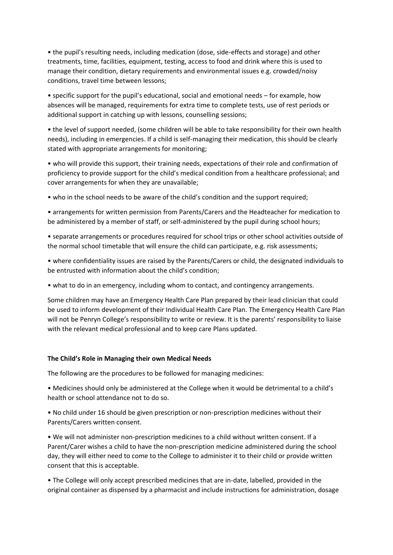• the pupil's resulting needs, including medication (dose, side-effects and storage) and other treatments, time, facilities, equipment, testing, access to food and drink where this is used to manage their condition, dietary requirements and environmental issues e.g. crowded/noisy conditions, travel time between lessons;

• specific support for the pupil's educational, social and emotional needs – for example, how absences will be managed, requirements for extra time to complete tests, use of rest periods or additional support in catching up with lessons, counselling sessions;

• the level of support needed, (some children will be able to take responsibility for their own health needs), including in emergencies. If a child is self-managing their medication, this should be clearly stated with appropriate arrangements for monitoring;

• who will provide this support, their training needs, expectations of their role and confirmation of proficiency to provide support for the child's medical condition from a healthcare professional; and cover arrangements for when they are unavailable;

• who in the school needs to be aware of the child's condition and the support required;

• arrangements for written permission from Parents/Carers and the Headteacher for medication to be administered by a member of staff, or self-administered by the pupil during school hours;

• separate arrangements or procedures required for school trips or other school activities outside of the normal school timetable that will ensure the child can participate, e.g. risk assessments;

• where confidentiality issues are raised by the Parents/Carers or child, the designated individuals to be entrusted with information about the child's condition;

• what to do in an emergency, including whom to contact, and contingency arrangements.

Some children may have an Emergency Health Care Plan prepared by their lead clinician that could be used to inform development of their Individual Health Care Plan. The Emergency Health Care Plan will not be Penryn College's responsibility to write or review. It is the parents' responsibility to liaise with the relevant medical professional and to keep care Plans updated.

## **The Child's Role in Managing their own Medical Needs**

The following are the procedures to be followed for managing medicines:

• Medicines should only be administered at the College when it would be detrimental to a child's health or school attendance not to do so.

• No child under 16 should be given prescription or non-prescription medicines without their Parents/Carers written consent.

• We will not administer non-prescription medicines to a child without written consent. If a Parent/Carer wishes a child to have the non-prescription medicine administered during the school day, they will either need to come to the College to administer it to their child or provide written consent that this is acceptable.

• The College will only accept prescribed medicines that are in-date, labelled, provided in the original container as dispensed by a pharmacist and include instructions for administration, dosage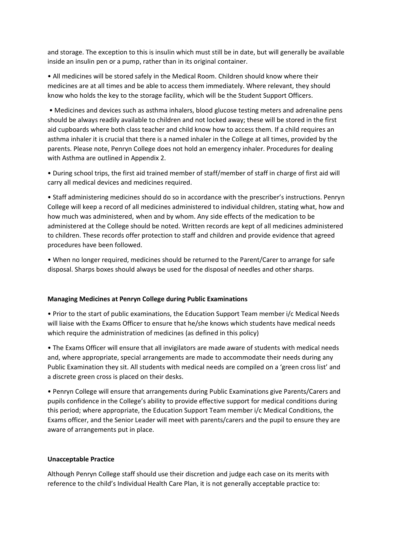and storage. The exception to this is insulin which must still be in date, but will generally be available inside an insulin pen or a pump, rather than in its original container.

• All medicines will be stored safely in the Medical Room. Children should know where their medicines are at all times and be able to access them immediately. Where relevant, they should know who holds the key to the storage facility, which will be the Student Support Officers.

• Medicines and devices such as asthma inhalers, blood glucose testing meters and adrenaline pens should be always readily available to children and not locked away; these will be stored in the first aid cupboards where both class teacher and child know how to access them. If a child requires an asthma inhaler it is crucial that there is a named inhaler in the College at all times, provided by the parents. Please note, Penryn College does not hold an emergency inhaler. Procedures for dealing with Asthma are outlined in Appendix 2.

• During school trips, the first aid trained member of staff/member of staff in charge of first aid will carry all medical devices and medicines required.

• Staff administering medicines should do so in accordance with the prescriber's instructions. Penryn College will keep a record of all medicines administered to individual children, stating what, how and how much was administered, when and by whom. Any side effects of the medication to be administered at the College should be noted. Written records are kept of all medicines administered to children. These records offer protection to staff and children and provide evidence that agreed procedures have been followed.

• When no longer required, medicines should be returned to the Parent/Carer to arrange for safe disposal. Sharps boxes should always be used for the disposal of needles and other sharps.

### **Managing Medicines at Penryn College during Public Examinations**

• Prior to the start of public examinations, the Education Support Team member i/c Medical Needs will liaise with the Exams Officer to ensure that he/she knows which students have medical needs which require the administration of medicines (as defined in this policy)

• The Exams Officer will ensure that all invigilators are made aware of students with medical needs and, where appropriate, special arrangements are made to accommodate their needs during any Public Examination they sit. All students with medical needs are compiled on a 'green cross list' and a discrete green cross is placed on their desks.

• Penryn College will ensure that arrangements during Public Examinations give Parents/Carers and pupils confidence in the College's ability to provide effective support for medical conditions during this period; where appropriate, the Education Support Team member i/c Medical Conditions, the Exams officer, and the Senior Leader will meet with parents/carers and the pupil to ensure they are aware of arrangements put in place.

## **Unacceptable Practice**

Although Penryn College staff should use their discretion and judge each case on its merits with reference to the child's Individual Health Care Plan, it is not generally acceptable practice to: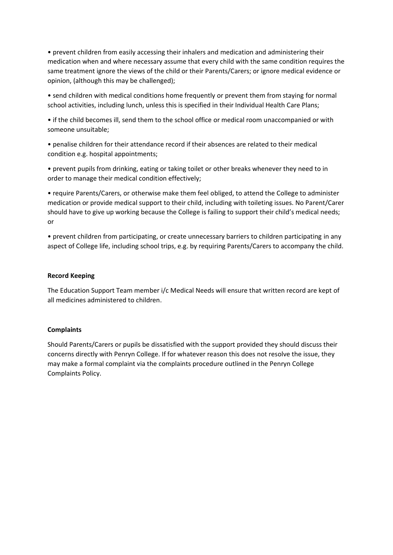• prevent children from easily accessing their inhalers and medication and administering their medication when and where necessary assume that every child with the same condition requires the same treatment ignore the views of the child or their Parents/Carers; or ignore medical evidence or opinion, (although this may be challenged);

• send children with medical conditions home frequently or prevent them from staying for normal school activities, including lunch, unless this is specified in their Individual Health Care Plans;

• if the child becomes ill, send them to the school office or medical room unaccompanied or with someone unsuitable;

• penalise children for their attendance record if their absences are related to their medical condition e.g. hospital appointments;

• prevent pupils from drinking, eating or taking toilet or other breaks whenever they need to in order to manage their medical condition effectively;

• require Parents/Carers, or otherwise make them feel obliged, to attend the College to administer medication or provide medical support to their child, including with toileting issues. No Parent/Carer should have to give up working because the College is failing to support their child's medical needs; or

• prevent children from participating, or create unnecessary barriers to children participating in any aspect of College life, including school trips, e.g. by requiring Parents/Carers to accompany the child.

## **Record Keeping**

The Education Support Team member i/c Medical Needs will ensure that written record are kept of all medicines administered to children.

## **Complaints**

Should Parents/Carers or pupils be dissatisfied with the support provided they should discuss their concerns directly with Penryn College. If for whatever reason this does not resolve the issue, they may make a formal complaint via the complaints procedure outlined in the Penryn College Complaints Policy.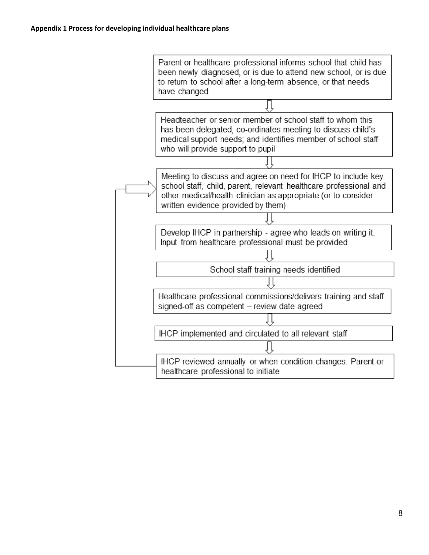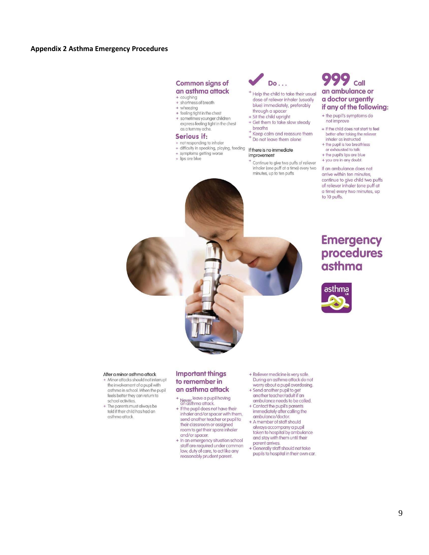### **Appendix 2 Asthma Emergency Procedures**

#### **Common signs of** an asthma attack

- + coughing<br>+ shortness of breath
- + wheezing
- + feeling tight in the chest
- + sometimes younger children express feeling tight in the chest as a tummy ache.

#### **Serious if:**

- + not responding to inhaler
- + difficulty in speaking, playing, feeding
- + symptoms getting worse
- + lips are blue



- <sup>+</sup> Help the child to take their usual dose of reliever inhaler (usually blue) immediately, preferably through a spacer
- + Sit the child upright
- + Get them to take slow steady breaths
- Keep calm and reassure them + Do not leave them alone
- 

#### If there is no immediate improvement

+ Continue to give two puffs of reliever inhaler (one puff at a time) every two minutes, up to ten puffs

## Call an ambulance or a doctor urgently if any of the following:

- + the pupil's symptoms do not improve
- + if the child does not start to feel better after taking the reliever
- inhaler as instructed + the pupil is too breathless
- or exhausted to talk
- + the pupil's lips are blue + you are in any doubt.
- If an ambulance does not arrive within ten minutes, continue to give child two puffs of reliever inhaler (one puff at a time) every two minutes, up to 10 puffs.

# **Emergency** procedures asthma



#### After a minor asthma attack

- + Minor attacks should not interrupt the involvement of a pupil with asthma in school. When the pupil feels better they can return to school activities.
- + The parents must always be told if their child has had an asthma attack.

#### **Important things** to remember in an asthma attack

- Never <sup>leave a pupil having</sup><br>an asthma attack.
- + If the pupil does not have their inhaler and/or spacer with them, send another teacher or pupil to their classroom or assigned room to get their spare inhaler and/or spacer.
- + In an emergency situation school staff are required under common law, duty of care, to act like any reasonably prudent parent.
- + Reliever medicine is very safe. During an asthma attack do not worry about a pupil overdosing.
- + Send another pupil to get another teacher/adult if an ambulance needs to be called.
- + Contact the pupil's parents immediately after calling the
- ambulance/doctor. + A member of staff should
- always accompany a pupil taken to hospital by ambulance and stay with them until their parent arrives.
- + Generally staff should not take pupils to hospital in their own car.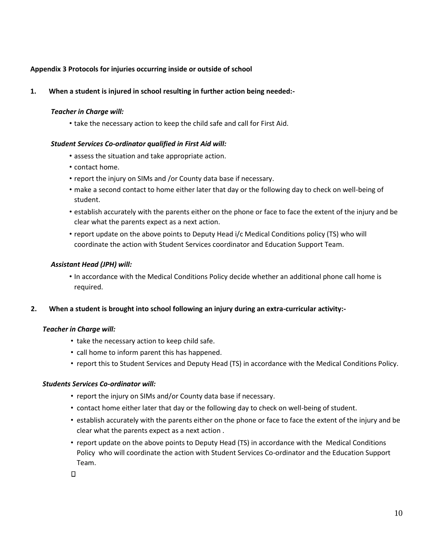## **Appendix 3 Protocols for injuries occurring inside or outside of school**

**1. When a student is injured in school resulting in further action being needed:-** 

## *Teacher in Charge will:*

• take the necessary action to keep the child safe and call for First Aid.

## *Student Services Co-ordinator qualified in First Aid will:*

- assess the situation and take appropriate action.
- contact home.
- report the injury on SIMs and /or County data base if necessary.
- make a second contact to home either later that day or the following day to check on well-being of student.
- establish accurately with the parents either on the phone or face to face the extent of the injury and be clear what the parents expect as a next action.
- report update on the above points to Deputy Head i/c Medical Conditions policy (TS) who will coordinate the action with Student Services coordinator and Education Support Team.

## *Assistant Head (JPH) will:*

• In accordance with the Medical Conditions Policy decide whether an additional phone call home is required.

## **2. When a student is brought into school following an injury during an extra-curricular activity:-**

## *Teacher in Charge will:*

- take the necessary action to keep child safe.
- call home to inform parent this has happened.
- report this to Student Services and Deputy Head (TS) in accordance with the Medical Conditions Policy.

## *Students Services Co-ordinator will:*

- report the injury on SIMs and/or County data base if necessary.
- contact home either later that day or the following day to check on well-being of student.
- establish accurately with the parents either on the phone or face to face the extent of the injury and be clear what the parents expect as a next action .
- report update on the above points to Deputy Head (TS) in accordance with the Medical Conditions Policy who will coordinate the action with Student Services Co-ordinator and the Education Support Team.

 $\Box$